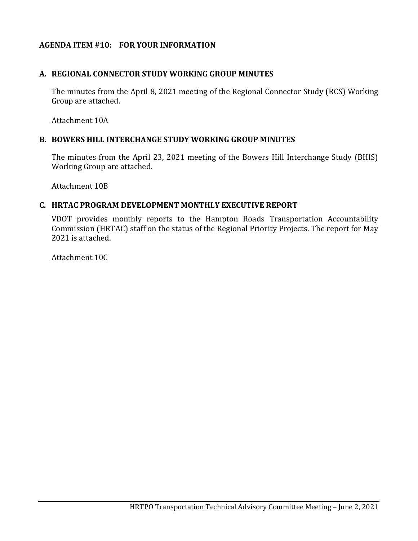# **AGENDA ITEM #10: FOR YOUR INFORMATION**

## **A. REGIONAL CONNECTOR STUDY WORKING GROUP MINUTES**

The minutes from the April 8, 2021 meeting of the Regional Connector Study (RCS) Working Group are attached.

Attachment 10A

### **B. BOWERS HILL INTERCHANGE STUDY WORKING GROUP MINUTES**

The minutes from the April 23, 2021 meeting of the Bowers Hill Interchange Study (BHIS) Working Group are attached.

Attachment 10B

## **C. HRTAC PROGRAM DEVELOPMENT MONTHLY EXECUTIVE REPORT**

VDOT provides monthly reports to the Hampton Roads Transportation Accountability Commission (HRTAC) staff on the status of the Regional Priority Projects. The report for May 2021 is attached.

Attachment 10C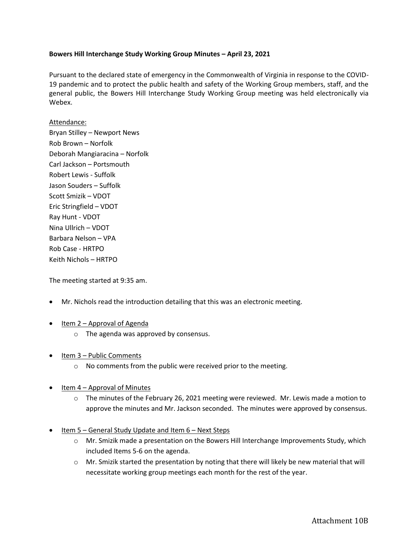#### **Bowers Hill Interchange Study Working Group Minutes – April 23, 2021**

Pursuant to the declared state of emergency in the Commonwealth of Virginia in response to the COVID-19 pandemic and to protect the public health and safety of the Working Group members, staff, and the general public, the Bowers Hill Interchange Study Working Group meeting was held electronically via Webex.

#### Attendance:

Bryan Stilley – Newport News Rob Brown – Norfolk Deborah Mangiaracina – Norfolk Carl Jackson – Portsmouth Robert Lewis - Suffolk Jason Souders – Suffolk Scott Smizik – VDOT Eric Stringfield – VDOT Ray Hunt - VDOT Nina Ullrich – VDOT Barbara Nelson – VPA Rob Case - HRTPO Keith Nichols – HRTPO

The meeting started at 9:35 am.

- Mr. Nichols read the introduction detailing that this was an electronic meeting.
- Item 2 Approval of Agenda
	- o The agenda was approved by consensus.
- Item 3 Public Comments
	- o No comments from the public were received prior to the meeting.
- Item 4 Approval of Minutes
	- $\circ$  The minutes of the February 26, 2021 meeting were reviewed. Mr. Lewis made a motion to approve the minutes and Mr. Jackson seconded. The minutes were approved by consensus.
- Item 5 General Study Update and Item 6 Next Steps
	- o Mr. Smizik made a presentation on the Bowers Hill Interchange Improvements Study, which included Items 5-6 on the agenda.
	- $\circ$  Mr. Smizik started the presentation by noting that there will likely be new material that will necessitate working group meetings each month for the rest of the year.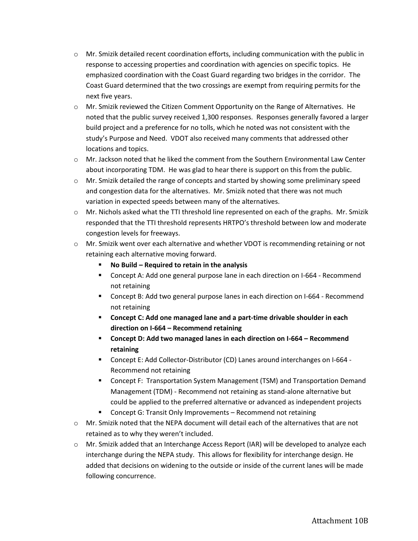- $\circ$  Mr. Smizik detailed recent coordination efforts, including communication with the public in response to accessing properties and coordination with agencies on specific topics. He emphasized coordination with the Coast Guard regarding two bridges in the corridor. The Coast Guard determined that the two crossings are exempt from requiring permits for the next five years.
- o Mr. Smizik reviewed the Citizen Comment Opportunity on the Range of Alternatives. He noted that the public survey received 1,300 responses. Responses generally favored a larger build project and a preference for no tolls, which he noted was not consistent with the study's Purpose and Need. VDOT also received many comments that addressed other locations and topics.
- o Mr. Jackson noted that he liked the comment from the Southern Environmental Law Center about incorporating TDM. He was glad to hear there is support on this from the public.
- o Mr. Smizik detailed the range of concepts and started by showing some preliminary speed and congestion data for the alternatives. Mr. Smizik noted that there was not much variation in expected speeds between many of the alternatives.
- $\circ$  Mr. Nichols asked what the TTI threshold line represented on each of the graphs. Mr. Smizik responded that the TTI threshold represents HRTPO's threshold between low and moderate congestion levels for freeways.
- o Mr. Smizik went over each alternative and whether VDOT is recommending retaining or not retaining each alternative moving forward.
	- No Build Required to retain in the analysis
	- Concept A: Add one general purpose lane in each direction on I-664 Recommend not retaining
	- Concept B: Add two general purpose lanes in each direction on I-664 Recommend not retaining
	- **Concept C: Add one managed lane and a part-time drivable shoulder in each direction on I-664 – Recommend retaining**
	- **Concept D: Add two managed lanes in each direction on I-664 – Recommend retaining**
	- Concept E: Add Collector-Distributor (CD) Lanes around interchanges on I-664 -Recommend not retaining
	- **■** Concept F: Transportation System Management (TSM) and Transportation Demand Management (TDM) - Recommend not retaining as stand-alone alternative but could be applied to the preferred alternative or advanced as independent projects
	- Concept G: Transit Only Improvements Recommend not retaining
- o Mr. Smizik noted that the NEPA document will detail each of the alternatives that are not retained as to why they weren't included.
- $\circ$  Mr. Smizik added that an Interchange Access Report (IAR) will be developed to analyze each interchange during the NEPA study. This allows for flexibility for interchange design. He added that decisions on widening to the outside or inside of the current lanes will be made following concurrence.